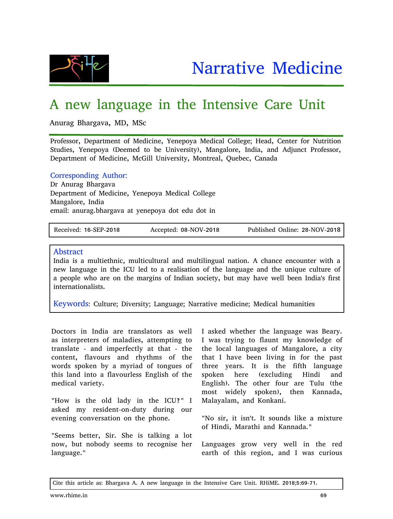

## A new language in the Intensive Care Unit

Anurag Bhargava, MD, MSc

Professor, Department of Medicine, Yenepoya Medical College; Head, Center for Nutrition Studies, Yenepoya (Deemed to be University), Mangalore, India, and Adjunct Professor, Department of Medicine, McGill University, Montreal, Quebec, Canada

## Corresponding Author:

Dr Anurag Bhargava Department of Medicine, Yenepoya Medical College Mangalore, India email: anurag.bhargava at yenepoya dot edu dot in

Received: 16-SEP-2018 Accepted: 08-NOV-2018 Published Online: 28-NOV-2018

## Abstract

India is a multiethnic, multicultural and multilingual nation. A chance encounter with a new language in the ICU led to a realisation of the language and the unique culture of a people who are on the margins of Indian society, but may have well been India's first internationalists.

Keywords: Culture; Diversity; Language; Narrative medicine; Medical humanities

Doctors in India are translators as well as interpreters of maladies, attempting to translate - and imperfectly at that - the content, flavours and rhythms of the words spoken by a myriad of tongues of this land into a flavourless English of the medical variety.

"How is the old lady in the ICU?" I asked my resident-on-duty during our evening conversation on the phone.

"Seems better, Sir. She is talking a lot now, but nobody seems to recognise her language."

I asked whether the language was Beary. I was trying to flaunt my knowledge of the local languages of Mangalore, a city that I have been living in for the past three years. It is the fifth language spoken here (excluding Hindi and English). The other four are Tulu (the most widely spoken), then Kannada, Malayalam, and Konkani.

"No sir, it isn't. It sounds like a mixture of Hindi, Marathi and Kannada."

Languages grow very well in the red earth of this region, and I was curious

Cite this article as: Bhargava A. A new language in the Intensive Care Unit. RHiME. 2018;5:69-71.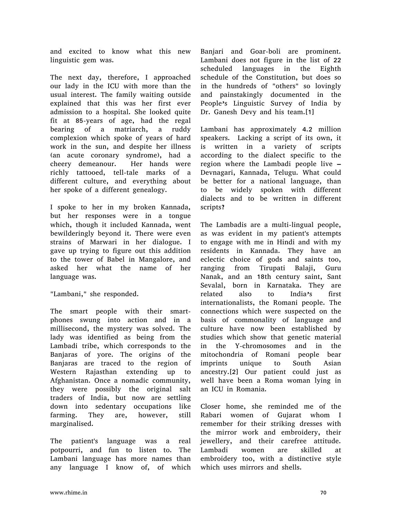and excited to know what this new linguistic gem was.

The next day, therefore, I approached our lady in the ICU with more than the usual interest. The family waiting outside explained that this was her first ever admission to a hospital. She looked quite fit at 85-years of age, had the regal bearing of a matriarch, a ruddy complexion which spoke of years of hard work in the sun, and despite her illness (an acute coronary syndrome), had a cheery demeanour. Her hands were richly tattooed, tell-tale marks of a different culture, and everything about her spoke of a different genealogy.

I spoke to her in my broken Kannada, but her responses were in a tongue which, though it included Kannada, went bewilderingly beyond it. There were even strains of Marwari in her dialogue. I gave up trying to figure out this addition to the tower of Babel in Mangalore, and asked her what the name of her language was.

"Lambani," she responded.

The smart people with their smartphones swung into action and in a millisecond, the mystery was solved. The lady was identified as being from the Lambadi tribe, which corresponds to the Banjaras of yore. The origins of the Banjaras are traced to the region of Western Rajasthan extending up to Afghanistan. Once a nomadic community, they were possibly the original salt traders of India, but now are settling down into sedentary occupations like farming. They are, however, still marginalised.

The patient's language was a real potpourri, and fun to listen to. The Lambani language has more names than any language I know of, of which Banjari and Goar-boli are prominent. Lambani does not figure in the list of 22 scheduled languages in the Eighth schedule of the Constitution, but does so in the hundreds of "others" so lovingly and painstakingly documented in the People's Linguistic Survey of India by Dr. Ganesh Devy and his team.[1]

Lambani has approximately 4.2 million speakers. Lacking a script of its own, it is written in a variety of scripts according to the dialect specific to the region where the Lambadi people live – Devnagari, Kannada, Telugu. What could be better for a national language, than to be widely spoken with different dialects and to be written in different scripts?

The Lambadis are a multi-lingual people, as was evident in my patient's attempts to engage with me in Hindi and with my residents in Kannada. They have an eclectic choice of gods and saints too, ranging from Tirupati Balaji, Guru Nanak, and an 18th century saint, Sant Sevalal, born in Karnataka. They are related also to India's first internationalists, the Romani people. The connections which were suspected on the basis of commonality of language and culture have now been established by studies which show that genetic material in the Y-chromosomes and in the mitochondria of Romani people bear imprints unique to South Asian ancestry.[2] Our patient could just as well have been a Roma woman lying in an ICU in Romania.

Closer home, she reminded me of the Rabari women of Gujarat whom I remember for their striking dresses with the mirror work and embroidery, their jewellery, and their carefree attitude. Lambadi women are skilled at embroidery too, with a distinctive style which uses mirrors and shells.